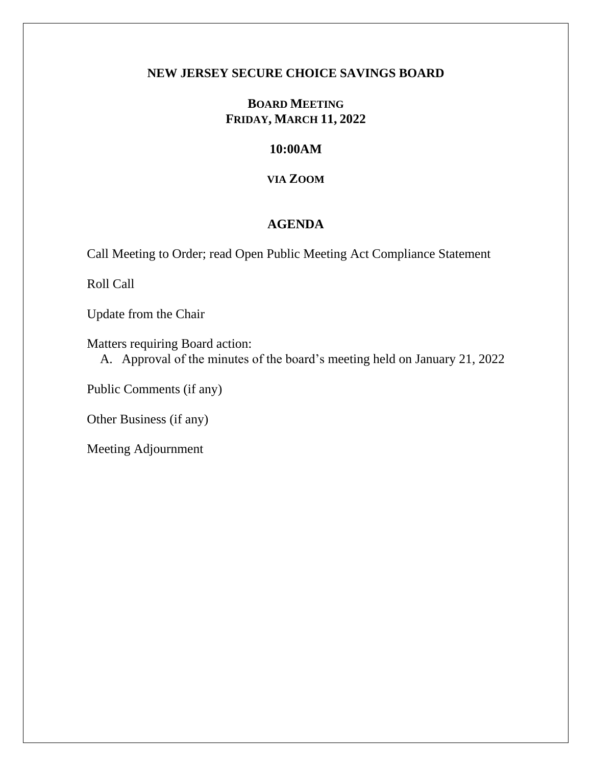### **NEW JERSEY SECURE CHOICE SAVINGS BOARD**

# **BOARD MEETING FRIDAY, MARCH 11, 2022**

## **10:00AM**

## **VIA ZOOM**

# **AGENDA**

Call Meeting to Order; read Open Public Meeting Act Compliance Statement

Roll Call

Update from the Chair

Matters requiring Board action:

A. Approval of the minutes of the board's meeting held on January 21, 2022

Public Comments (if any)

Other Business (if any)

Meeting Adjournment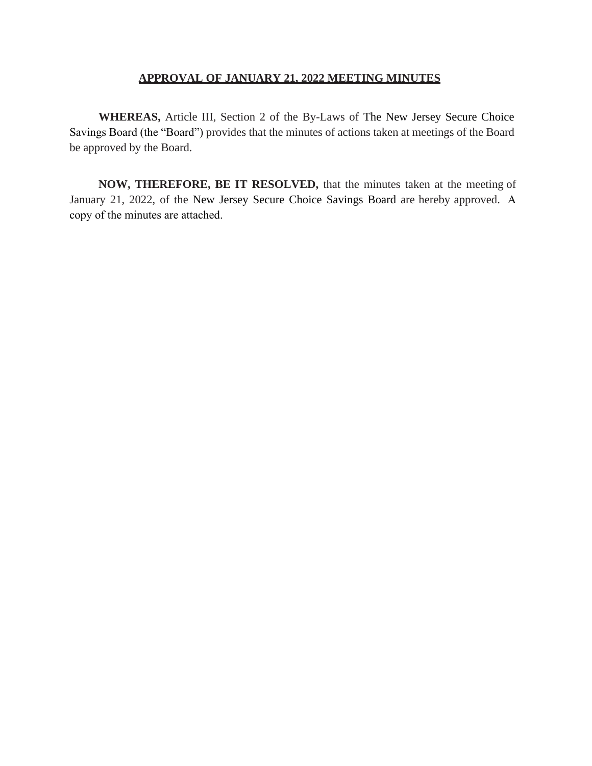### **APPROVAL OF JANUARY 21, 2022 MEETING MINUTES**

**WHEREAS,** Article III, Section 2 of the By-Laws of The New Jersey Secure Choice Savings Board (the "Board") provides that the minutes of actions taken at meetings of the Board be approved by the Board.

**NOW, THEREFORE, BE IT RESOLVED,** that the minutes taken at the meeting of January 21, 2022, of the New Jersey Secure Choice Savings Board are hereby approved. A copy of the minutes are attached.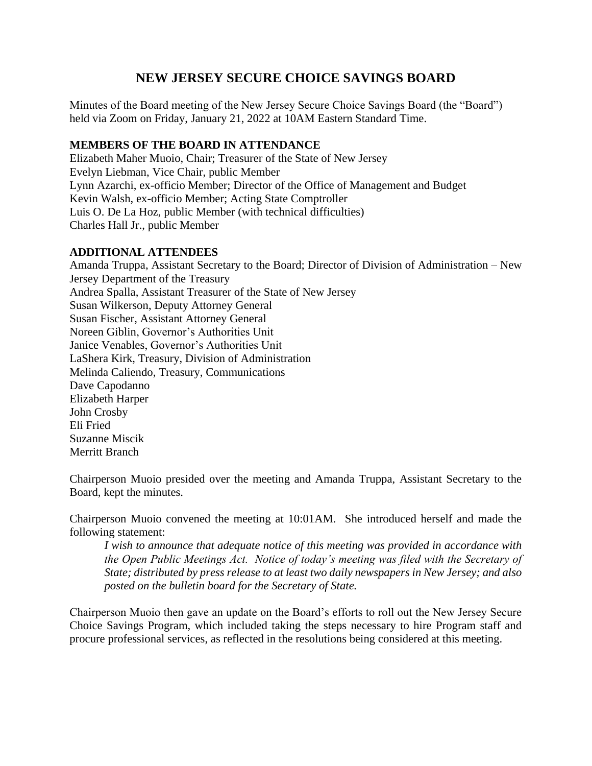# **NEW JERSEY SECURE CHOICE SAVINGS BOARD**

Minutes of the Board meeting of the New Jersey Secure Choice Savings Board (the "Board") held via Zoom on Friday, January 21, 2022 at 10AM Eastern Standard Time.

### **MEMBERS OF THE BOARD IN ATTENDANCE**

Elizabeth Maher Muoio, Chair; Treasurer of the State of New Jersey Evelyn Liebman, Vice Chair, public Member Lynn Azarchi, ex-officio Member; Director of the Office of Management and Budget Kevin Walsh, ex-officio Member; Acting State Comptroller Luis O. De La Hoz, public Member (with technical difficulties) Charles Hall Jr., public Member

#### **ADDITIONAL ATTENDEES**

Amanda Truppa, Assistant Secretary to the Board; Director of Division of Administration – New Jersey Department of the Treasury Andrea Spalla, Assistant Treasurer of the State of New Jersey Susan Wilkerson, Deputy Attorney General Susan Fischer, Assistant Attorney General Noreen Giblin, Governor's Authorities Unit Janice Venables, Governor's Authorities Unit LaShera Kirk, Treasury, Division of Administration Melinda Caliendo, Treasury, Communications Dave Capodanno Elizabeth Harper John Crosby Eli Fried Suzanne Miscik Merritt Branch

Chairperson Muoio presided over the meeting and Amanda Truppa, Assistant Secretary to the Board, kept the minutes.

Chairperson Muoio convened the meeting at 10:01AM. She introduced herself and made the following statement:

*I wish to announce that adequate notice of this meeting was provided in accordance with the Open Public Meetings Act. Notice of today's meeting was filed with the Secretary of State; distributed by press release to at least two daily newspapers in New Jersey; and also posted on the bulletin board for the Secretary of State.*

Chairperson Muoio then gave an update on the Board's efforts to roll out the New Jersey Secure Choice Savings Program, which included taking the steps necessary to hire Program staff and procure professional services, as reflected in the resolutions being considered at this meeting.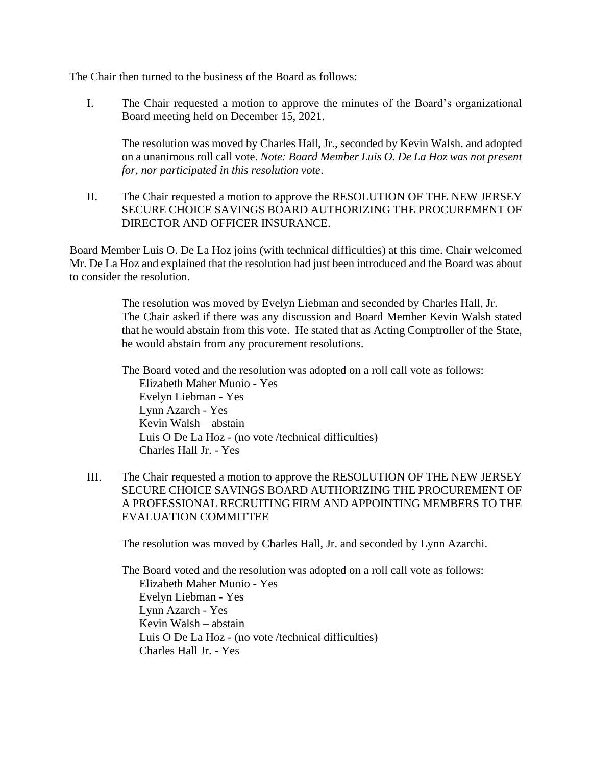The Chair then turned to the business of the Board as follows:

I. The Chair requested a motion to approve the minutes of the Board's organizational Board meeting held on December 15, 2021.

The resolution was moved by Charles Hall, Jr., seconded by Kevin Walsh. and adopted on a unanimous roll call vote. *Note: Board Member Luis O. De La Hoz was not present for, nor participated in this resolution vote*.

II. The Chair requested a motion to approve the RESOLUTION OF THE NEW JERSEY SECURE CHOICE SAVINGS BOARD AUTHORIZING THE PROCUREMENT OF DIRECTOR AND OFFICER INSURANCE.

Board Member Luis O. De La Hoz joins (with technical difficulties) at this time. Chair welcomed Mr. De La Hoz and explained that the resolution had just been introduced and the Board was about to consider the resolution.

> The resolution was moved by Evelyn Liebman and seconded by Charles Hall, Jr. The Chair asked if there was any discussion and Board Member Kevin Walsh stated that he would abstain from this vote. He stated that as Acting Comptroller of the State, he would abstain from any procurement resolutions.

The Board voted and the resolution was adopted on a roll call vote as follows: Elizabeth Maher Muoio - Yes Evelyn Liebman - Yes Lynn Azarch - Yes Kevin Walsh – abstain Luis O De La Hoz - (no vote /technical difficulties) Charles Hall Jr. - Yes

III. The Chair requested a motion to approve the RESOLUTION OF THE NEW JERSEY SECURE CHOICE SAVINGS BOARD AUTHORIZING THE PROCUREMENT OF A PROFESSIONAL RECRUITING FIRM AND APPOINTING MEMBERS TO THE EVALUATION COMMITTEE

The resolution was moved by Charles Hall, Jr. and seconded by Lynn Azarchi.

The Board voted and the resolution was adopted on a roll call vote as follows: Elizabeth Maher Muoio - Yes Evelyn Liebman - Yes Lynn Azarch - Yes Kevin Walsh – abstain Luis O De La Hoz - (no vote /technical difficulties) Charles Hall Jr. - Yes